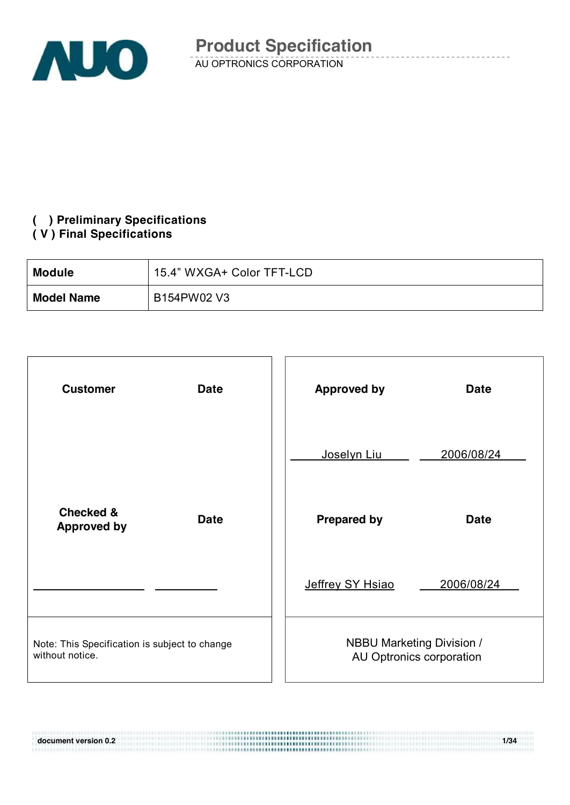

### **( ) Preliminary Specifications**

#### **( V ) Final Specifications**

0.000000000000000000000000

| <b>Module</b>     | 15.4" WXGA+ Color TFT-LCD |
|-------------------|---------------------------|
| <b>Model Name</b> | B154PW02 V3               |

| <b>Customer</b><br><b>Date</b>                                   |  | <b>Approved by</b> | <b>Date</b>                                                  |
|------------------------------------------------------------------|--|--------------------|--------------------------------------------------------------|
|                                                                  |  | Joselyn Liu        | 2006/08/24                                                   |
| <b>Checked &amp;</b><br><b>Date</b><br><b>Approved by</b>        |  | <b>Prepared by</b> | <b>Date</b>                                                  |
|                                                                  |  | Jeffrey SY Hsiao   | 2006/08/24                                                   |
| Note: This Specification is subject to change<br>without notice. |  |                    | <b>NBBU Marketing Division /</b><br>AU Optronics corporation |

**document version 0.2 1/34**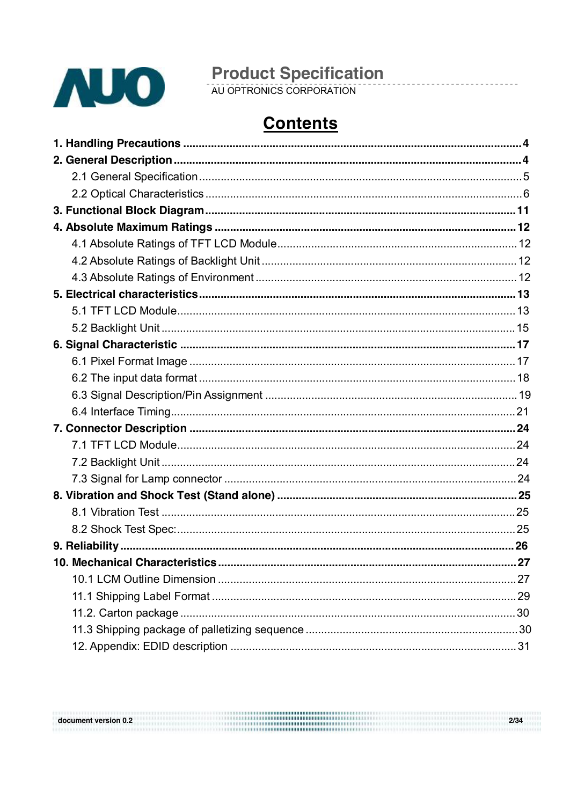

document version 0.2

# **Product Specification**<br>AU OPTRONICS CORPORATION

# **Contents**

| 10. Mechanical Characteristics | 27 |
|--------------------------------|----|
|                                |    |
|                                |    |
|                                |    |
|                                |    |
|                                |    |

 $2/34$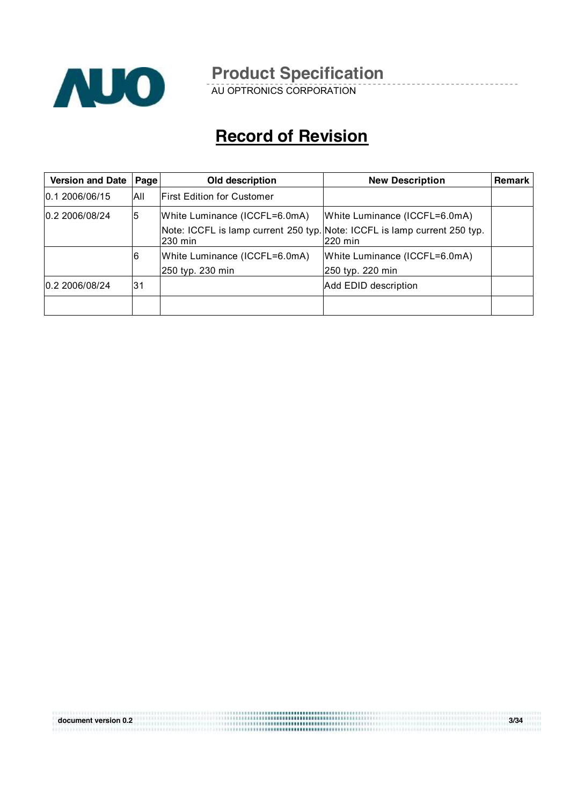

AU OPTRONICS CORPORATION

# **Record of Revision**

| <b>Version and Date</b> | Page | Old description                                   | <b>New Description</b>                                                                                                | <b>Remark</b> |
|-------------------------|------|---------------------------------------------------|-----------------------------------------------------------------------------------------------------------------------|---------------|
| 0.1 2006/06/15          | All  | <b>First Edition for Customer</b>                 |                                                                                                                       |               |
| 0.2 2006/08/24          | 5    | White Luminance (ICCFL=6.0mA)<br>1230 min         | White Luminance (ICCFL=6.0mA)<br>Note: ICCFL is lamp current 250 typ. Note: ICCFL is lamp current 250 typ.<br>220 min |               |
|                         | 6    | White Luminance (ICCFL=6.0mA)<br>250 typ. 230 min | White Luminance (ICCFL=6.0mA)<br>250 typ. 220 min                                                                     |               |
| 0.2 2006/08/24          | 31   |                                                   | Add EDID description                                                                                                  |               |
|                         |      |                                                   |                                                                                                                       |               |

| document version 0.2 | <b></b> | 3/34 |
|----------------------|---------|------|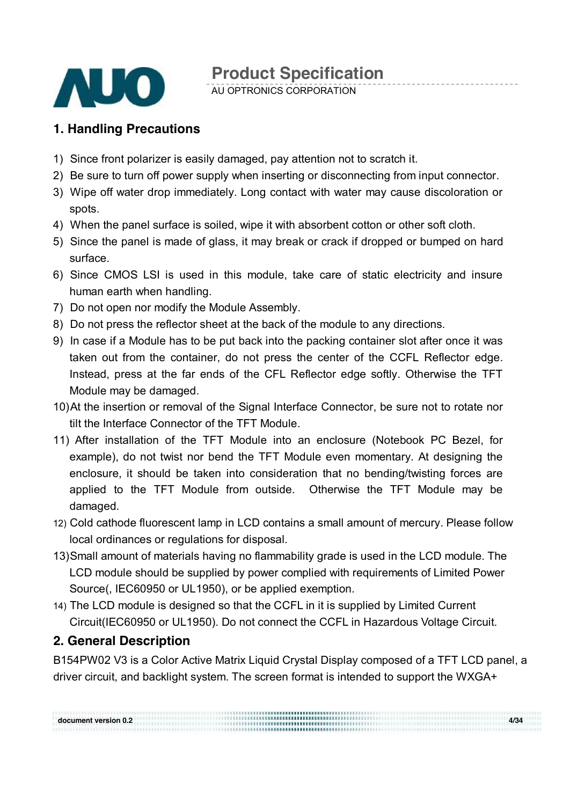

AU OPTRONICS CORPORATION

### **1. Handling Precautions**

- 1) Since front polarizer is easily damaged, pay attention not to scratch it.
- 2) Be sure to turn off power supply when inserting or disconnecting from input connector.
- 3) Wipe off water drop immediately. Long contact with water may cause discoloration or spots.
- 4) When the panel surface is soiled, wipe it with absorbent cotton or other soft cloth.
- 5) Since the panel is made of glass, it may break or crack if dropped or bumped on hard surface.
- 6) Since CMOS LSI is used in this module, take care of static electricity and insure human earth when handling.
- 7) Do not open nor modify the Module Assembly.
- 8) Do not press the reflector sheet at the back of the module to any directions.
- 9) In case if a Module has to be put back into the packing container slot after once it was taken out from the container, do not press the center of the CCFL Reflector edge. Instead, press at the far ends of the CFL Reflector edge softly. Otherwise the TFT Module may be damaged.
- 10)At the insertion or removal of the Signal Interface Connector, be sure not to rotate nor tilt the Interface Connector of the TFT Module.
- 11) After installation of the TFT Module into an enclosure (Notebook PC Bezel, for example), do not twist nor bend the TFT Module even momentary. At designing the enclosure, it should be taken into consideration that no bending/twisting forces are applied to the TFT Module from outside. Otherwise the TFT Module may be damaged.
- 12) Cold cathode fluorescent lamp in LCD contains a small amount of mercury. Please follow local ordinances or regulations for disposal.
- 13)Small amount of materials having no flammability grade is used in the LCD module. The LCD module should be supplied by power complied with requirements of Limited Power Source(, IEC60950 or UL1950), or be applied exemption.
- 14) The LCD module is designed so that the CCFL in it is supplied by Limited Current Circuit(IEC60950 or UL1950). Do not connect the CCFL in Hazardous Voltage Circuit.

### **2. General Description**

B154PW02 V3 is a Color Active Matrix Liquid Crystal Display composed of a TFT LCD panel, a driver circuit, and backlight system. The screen format is intended to support the WXGA+

**document version 0.2 4/34**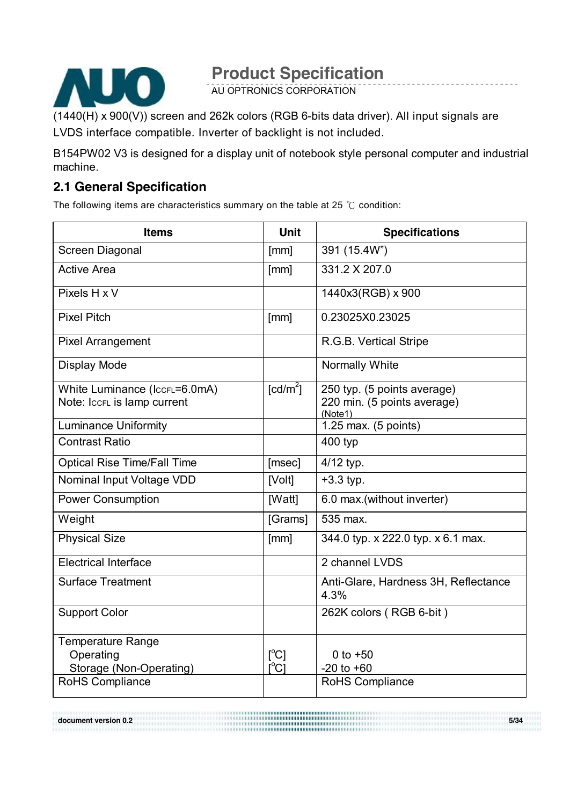

AU OPTRONICS CORPORATION

(1440(H) x 900(V)) screen and 262k colors (RGB 6-bits data driver). All input signals are LVDS interface compatible. Inverter of backlight is not included.

B154PW02 V3 is designed for a display unit of notebook style personal computer and industrial machine.

### **2.1 General Specification**

The following items are characteristics summary on the table at 25 ℃ condition:

| <b>Items</b>                       | <b>Unit</b>            | <b>Specifications</b>                        |
|------------------------------------|------------------------|----------------------------------------------|
| Screen Diagonal                    | [mm]                   | 391 (15.4W")                                 |
| <b>Active Area</b>                 | [mm]                   | 331.2 X 207.0                                |
| Pixels H x V                       |                        | 1440x3(RGB) x 900                            |
| <b>Pixel Pitch</b>                 | [mm]                   | 0.23025X0.23025                              |
| <b>Pixel Arrangement</b>           |                        | R.G.B. Vertical Stripe                       |
| Display Mode                       |                        | Normally White                               |
| White Luminance (IccrL=6.0mA)      | $\lceil cd/m^2 \rceil$ | 250 typ. (5 points average)                  |
| Note: IccFL is lamp current        |                        | 220 min. (5 points average)<br>(Note1)       |
| <b>Luminance Uniformity</b>        |                        | 1.25 max. (5 points)                         |
| <b>Contrast Ratio</b>              |                        | 400 typ                                      |
| <b>Optical Rise Time/Fall Time</b> | [msec]                 | 4/12 typ.                                    |
| Nominal Input Voltage VDD          | [Volt]                 | $+3.3$ typ.                                  |
| <b>Power Consumption</b>           | [Watt]                 | 6.0 max.(without inverter)                   |
| Weight                             | [Grams]                | 535 max.                                     |
| <b>Physical Size</b>               | [mm]                   | 344.0 typ. x 222.0 typ. x 6.1 max.           |
| <b>Electrical Interface</b>        |                        | 2 channel LVDS                               |
| <b>Surface Treatment</b>           |                        | Anti-Glare, Hardness 3H, Reflectance<br>4.3% |
| <b>Support Color</b>               |                        | 262K colors (RGB 6-bit)                      |
| <b>Temperature Range</b>           |                        |                                              |
| Operating                          | $\Gamma^{\circ}$ C     | 0 to $+50$                                   |
| Storage (Non-Operating)            | $\Gamma^{\circ}$ C1    | $-20$ to $+60$                               |
| RoHS Compliance                    |                        | <b>RoHS Compliance</b>                       |

**document version 0.2 5/34**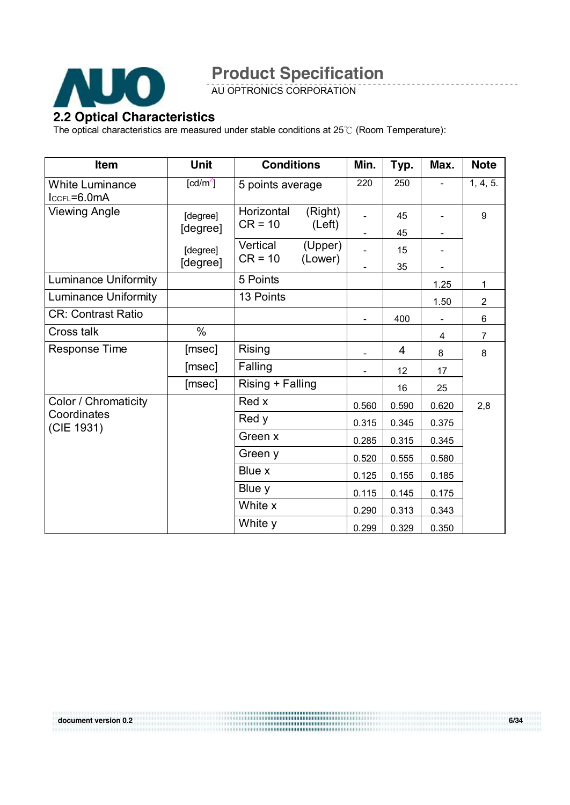

AU OPTRONICS CORPORATION

#### **2.2 Optical Characteristics**

The optical characteristics are measured under stable conditions at 25℃ (Room Temperature):

| <b>Item</b>                               | <b>Unit</b>          | <b>Conditions</b>       |                    | Min.                     | Typ.  | Max.                     | <b>Note</b>    |
|-------------------------------------------|----------------------|-------------------------|--------------------|--------------------------|-------|--------------------------|----------------|
| <b>White Luminance</b><br>$lccFL = 6.0mA$ | [ $cd/m2$ ]          | 5 points average        |                    | 220                      | 250   |                          | 1, 4, 5.       |
| <b>Viewing Angle</b>                      | [degree]<br>[degree] | Horizontal<br>$CR = 10$ | (Right)<br>(Left)  |                          | 45    |                          | 9              |
|                                           |                      | Vertical                |                    | $\blacksquare$           | 45    |                          |                |
|                                           | [degree]             | $CR = 10$               | (Upper)<br>(Lower) |                          | 15    |                          |                |
|                                           | [degree]             |                         |                    |                          | 35    |                          |                |
| <b>Luminance Uniformity</b>               |                      | 5 Points                |                    |                          |       | 1.25                     | 1              |
| <b>Luminance Uniformity</b>               |                      | 13 Points               |                    |                          |       | 1.50                     | $\overline{2}$ |
| <b>CR: Contrast Ratio</b>                 |                      |                         |                    | $\overline{\phantom{a}}$ | 400   | $\overline{\phantom{a}}$ | 6              |
| Cross talk                                | $\%$                 |                         |                    |                          |       | 4                        | $\overline{7}$ |
| <b>Response Time</b>                      | [msec]               | <b>Rising</b>           |                    |                          | 4     | 8                        | 8              |
|                                           | [msec]               | Falling                 |                    |                          | 12    | 17                       |                |
|                                           | [msec]               | Rising + Falling        |                    |                          | 16    | 25                       |                |
| Color / Chromaticity                      |                      | Red x                   |                    | 0.560                    | 0.590 | 0.620                    | 2,8            |
| Coordinates<br>(CIE 1931)                 |                      | Red y                   |                    | 0.315                    | 0.345 | 0.375                    |                |
|                                           |                      | Green x                 |                    | 0.285                    | 0.315 | 0.345                    |                |
|                                           |                      | Green y                 |                    | 0.520                    | 0.555 | 0.580                    |                |
|                                           |                      | Blue x                  |                    | 0.125                    | 0.155 | 0.185                    |                |
|                                           |                      | Blue y                  |                    | 0.115                    | 0.145 | 0.175                    |                |
|                                           |                      | White x                 |                    | 0.290                    | 0.313 | 0.343                    |                |
|                                           |                      | White y                 |                    | 0.299                    | 0.329 | 0.350                    |                |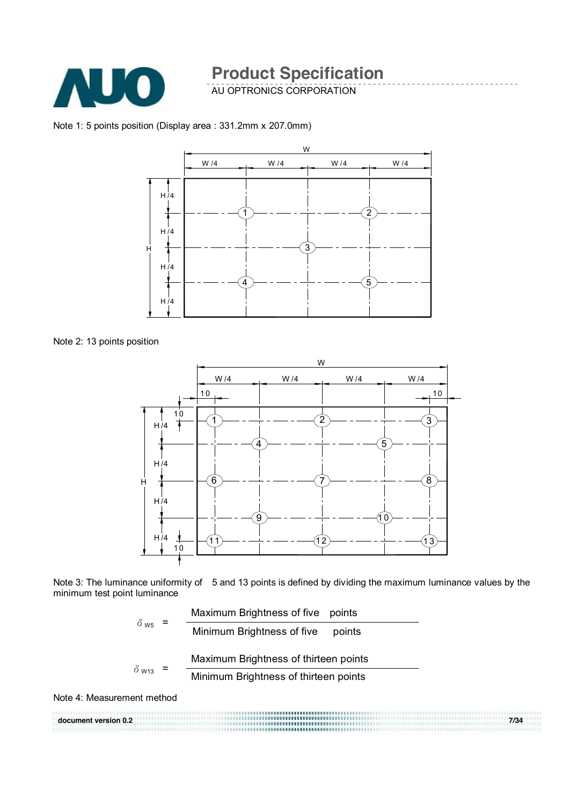

AU OPTRONICS CORPORATION

Note 1: 5 points position (Display area : 331.2mm x 207.0mm)



Note 2: 13 points position



Note 3: The luminance uniformity of 5 and 13 points is defined by dividing the maximum luminance values by the minimum test point luminance



Note 4: Measurement method

|                      | ,,,,,,,,,,,,, <b>,,,,,,,,,,,,,,</b> ,,,,,,,                                                                     |      |
|----------------------|-----------------------------------------------------------------------------------------------------------------|------|
| document version 0.2 | <u>\\$\$\$\$\$\$\$\$\$\$\$\$\$\$\$\$\$\$\$\$\$\$\$\$\$\$\$\$\$\$\$\$</u><br>,,,,,,,,,,,,,,,,,,,,,,,,,,,,,,,,,,, | 7/34 |
|                      | ,,,,,,,, <b>,,,,,,,,,,,,,,,,,</b> ,,,,,,,,,,                                                                    |      |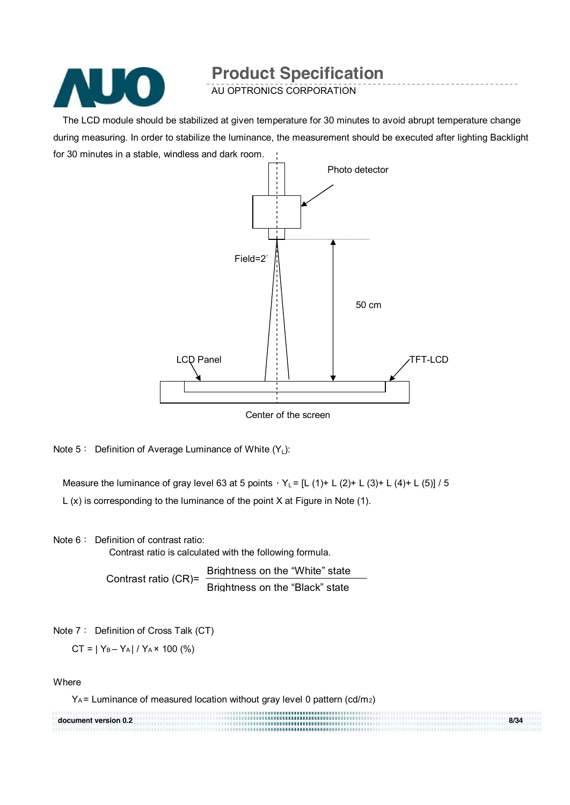

AU OPTRONICS CORPORATION

The LCD module should be stabilized at given temperature for 30 minutes to avoid abrupt temperature change during measuring. In order to stabilize the luminance, the measurement should be executed after lighting Backlight for 30 minutes in a stable, windless and dark room.



Center of the screen

Note 5: Definition of Average Luminance of White  $(Y_1)$ :

Measure the luminance of gray level 63 at 5 points,  $Y_L = [L (1) + L (2) + L (3) + L (4) + L (5)] / 5$ L (x) is corresponding to the luminance of the point X at Figure in Note (1).

Note 6: Definition of contrast ratio:

Contrast ratio is calculated with the following formula.

Contrast ratio (CR)= Brightness on the "White" state Brightness on the "Black" state

Note 7: Definition of Cross Talk (CT)

 $CT = |Y_B - Y_A| / Y_A \times 100$  (%)

**Where** 

YA = Luminance of measured location without gray level 0 pattern (cd/m2)

|                      | ,,,,,,,,,,,,,,,,,,,,,,,,,,,,,,,,,,,, |      |
|----------------------|--------------------------------------|------|
| document version 0.2 |                                      | 8/34 |
|                      |                                      |      |
|                      |                                      |      |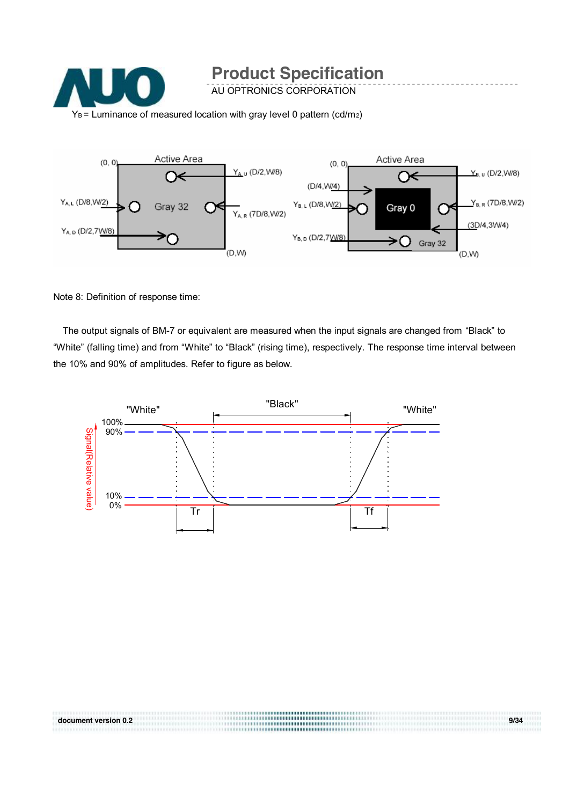



Note 8: Definition of response time:

The output signals of BM-7 or equivalent are measured when the input signals are changed from "Black" to "White" (falling time) and from "White" to "Black" (rising time), respectively. The response time interval between the 10% and 90% of amplitudes. Refer to figure as below.



**document version 0.2 9/34**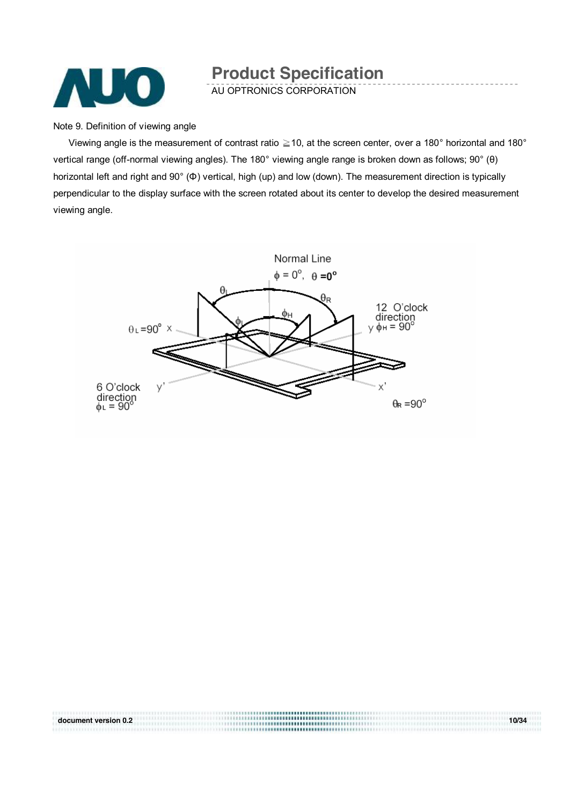

AU OPTRONICS CORPORATION

Note 9. Definition of viewing angle

Viewing angle is the measurement of contrast ratio  $\geq$  10, at the screen center, over a 180° horizontal and 180° vertical range (off-normal viewing angles). The 180° viewing angle range is broken down as follows; 90° (θ) horizontal left and right and 90° (Φ) vertical, high (up) and low (down). The measurement direction is typically perpendicular to the display surface with the screen rotated about its center to develop the desired measurement viewing angle.



**document version 0.2 10/34**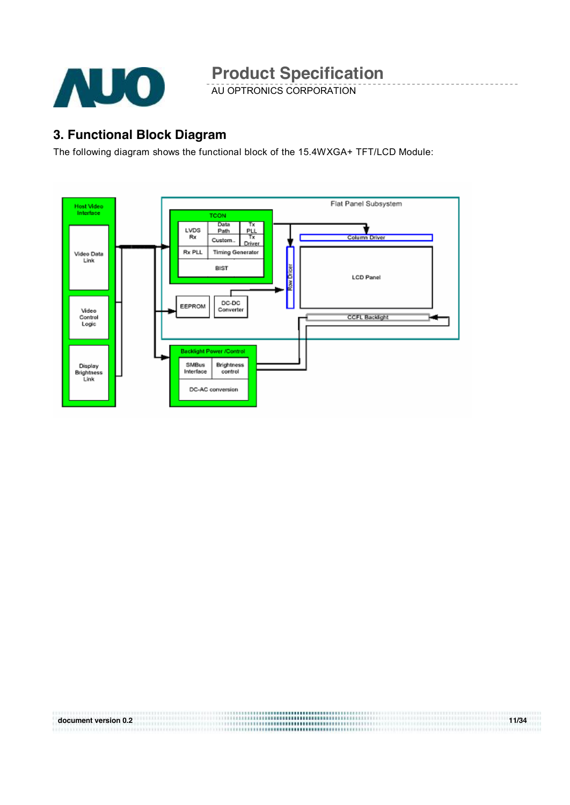

AU OPTRONICS CORPORATION

### **3. Functional Block Diagram**

The following diagram shows the functional block of the 15.4WXGA+ TFT/LCD Module:



**document version 0.2 11/34**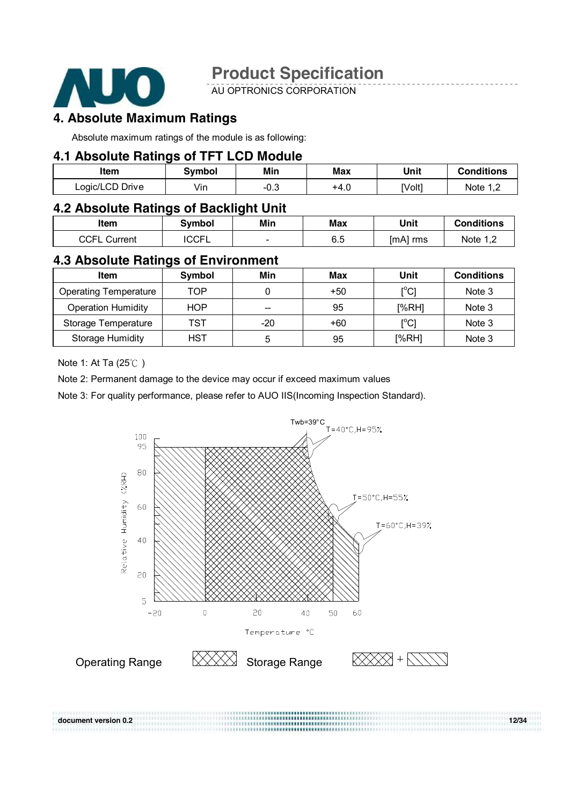

AU OPTRONICS CORPORATION

### **4. Absolute Maximum Ratings**

Absolute maximum ratings of the module is as following:

#### **4.1 Absolute Ratings of TFT LCD Module**

| Item            | Svmbol         | Min   | <b>Max</b> | Unit   | <b>Conditions</b> |
|-----------------|----------------|-------|------------|--------|-------------------|
| Logic/LCD Drive | $\cdot$<br>Vın | - 0.J | +4.u       | [Volt] | Note 1<br>ے, ا    |

#### **4.2 Absolute Ratings of Backlight Unit**

| <b>Item</b>       | Svmbol        | Min | Max | Unit     | <b>Conditions</b> |
|-------------------|---------------|-----|-----|----------|-------------------|
| CCFL<br>. Current | CCEI<br>יטטרב | -   | 6.5 | [mA] rms | Note 1 2          |

#### **4.3 Absolute Ratings of Environment**

| Item                         | Symbol     | Min   | Max   | Unit                                    | <b>Conditions</b> |
|------------------------------|------------|-------|-------|-----------------------------------------|-------------------|
| <b>Operating Temperature</b> | TOP        |       | $+50$ | $\mathsf{I}^\circ\mathsf{C} \mathsf{I}$ | Note 3            |
| <b>Operation Humidity</b>    | <b>HOP</b> | --    | 95    | [%RH]                                   | Note 3            |
| Storage Temperature          | TST        | $-20$ | $+60$ | $\mathsf{I}^\circ\mathsf{C} \mathsf{I}$ | Note 3            |
| <b>Storage Humidity</b>      | <b>HST</b> | b     | 95    | [%RH]                                   | Note 3            |

Note 1: At Ta (25℃ )

Note 2: Permanent damage to the device may occur if exceed maximum values

Note 3: For quality performance, please refer to AUO IIS(Incoming Inspection Standard).

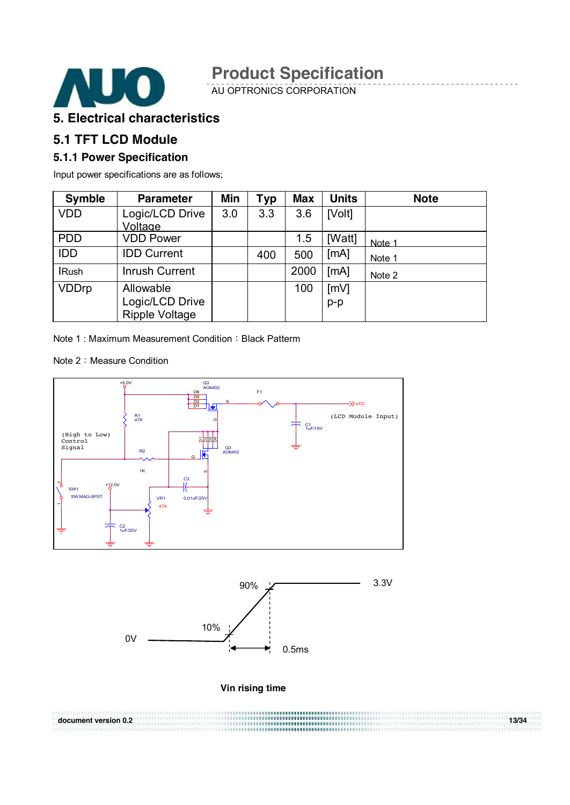

AU OPTRONICS CORPORATION

#### **5. Electrical characteristics**

#### **5.1 TFT LCD Module**

#### **5.1.1 Power Specification**

Input power specifications are as follows;

| <b>Parameter</b>      | <b>Min</b>                                          | Typ | <b>Max</b> | <b>Units</b> | <b>Note</b> |
|-----------------------|-----------------------------------------------------|-----|------------|--------------|-------------|
| Logic/LCD Drive       | 3.0                                                 | 3.3 | 3.6        | [Volt]       |             |
| <b>VDD Power</b>      |                                                     |     | 1.5        | [Watt]       | Note 1      |
| <b>IDD Current</b>    |                                                     | 400 | 500        | [mA]         | Note 1      |
| <b>Inrush Current</b> |                                                     |     | 2000       | [mA]         | Note 2      |
| Allowable             |                                                     |     | 100        | [mV]         |             |
|                       |                                                     |     |            | $p-p$        |             |
|                       | Voltage<br>Logic/LCD Drive<br><b>Ripple Voltage</b> |     |            |              |             |

Note 1: Maximum Measurement Condition: Black Patterm

Note 2: Measure Condition





**Vin rising time** 

**document version 0.2 13/34**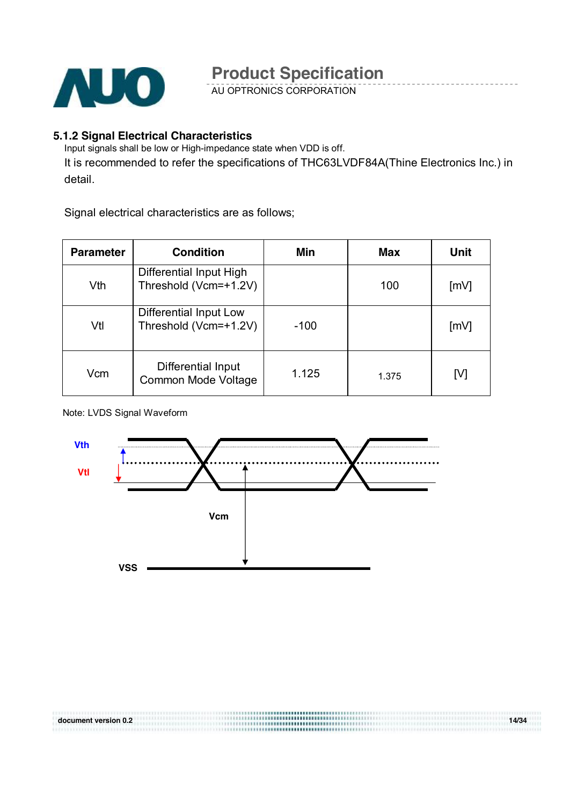

AU OPTRONICS CORPORATION

#### **5.1.2 Signal Electrical Characteristics**

Input signals shall be low or High-impedance state when VDD is off.

It is recommended to refer the specifications of THC63LVDF84A(Thine Electronics Inc.) in detail.

Signal electrical characteristics are as follows;

| <b>Parameter</b> | <b>Condition</b>                                 | Min    | <b>Max</b> | <b>Unit</b> |
|------------------|--------------------------------------------------|--------|------------|-------------|
| Vth              | Differential Input High<br>Threshold (Vcm=+1.2V) |        | 100        | [mV]        |
| Vtl              | Differential Input Low<br>Threshold (Vcm=+1.2V)  | $-100$ |            | [mV]        |
| Vcm              | Differential Input<br>Common Mode Voltage        | 1.125  | 1.375      | [V]         |

Note: LVDS Signal Waveform



**document version 0.2 14/34**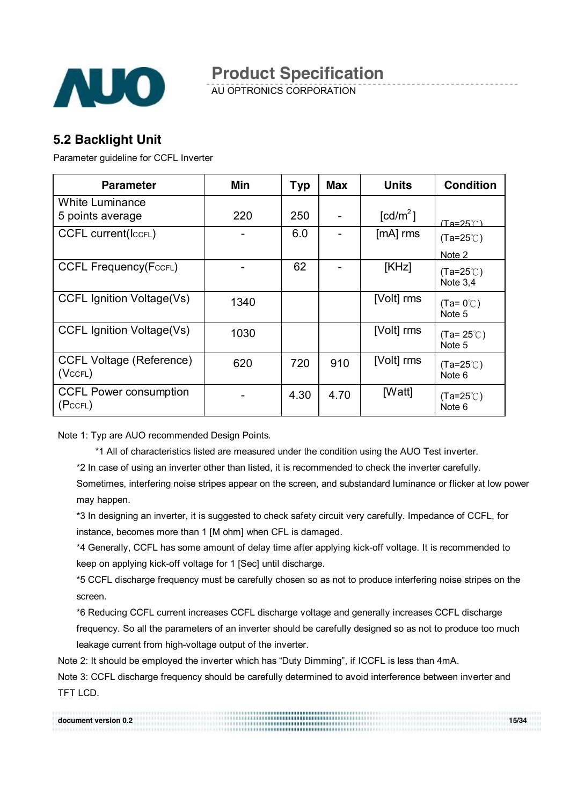

AU OPTRONICS CORPORATION

### **5.2 Backlight Unit**

Parameter guideline for CCFL Inverter

| <b>Parameter</b>                                 | <b>Min</b> | <b>Typ</b> | <b>Max</b> | <b>Units</b>           | <b>Condition</b>                                  |
|--------------------------------------------------|------------|------------|------------|------------------------|---------------------------------------------------|
| <b>White Luminance</b><br>5 points average       | 220        | 250        |            | $\lceil cd/m^2 \rceil$ |                                                   |
| <b>CCFL current(ICCFL)</b>                       |            | 6.0        |            | $[mA]$ rms             | $(Ta=25^\circ \textcirc C)$<br>$(Ta=25^{\circ}C)$ |
| <b>CCFL Frequency(FccFL)</b>                     |            | 62         |            | [KHz]                  | Note 2<br>$(Ta=25^{\circ}C)$<br>Note $3,4$        |
| <b>CCFL Ignition Voltage(Vs)</b>                 | 1340       |            |            | [Volt] rms             | $(Ta=0^{\circ}C)$<br>Note 5                       |
| <b>CCFL Ignition Voltage(Vs)</b>                 | 1030       |            |            | [Volt] rms             | $(Ta=25^{\circ}$ C)<br>Note 5                     |
| <b>CCFL Voltage (Reference)</b><br>$(Vc$ CFL $)$ | 620        | 720        | 910        | [Volt] rms             | $(Ta=25^{\circ}C)$<br>Note 6                      |
| <b>CCFL Power consumption</b><br>(PccFL)         |            | 4.30       | 4.70       | [Watt]                 | $(Ta=25^{\circ}C)$<br>Note 6                      |

Note 1: Typ are AUO recommended Design Points.

\*1 All of characteristics listed are measured under the condition using the AUO Test inverter.

\*2 In case of using an inverter other than listed, it is recommended to check the inverter carefully.

Sometimes, interfering noise stripes appear on the screen, and substandard luminance or flicker at low power may happen.

\*3 In designing an inverter, it is suggested to check safety circuit very carefully. Impedance of CCFL, for instance, becomes more than 1 [M ohm] when CFL is damaged.

\*4 Generally, CCFL has some amount of delay time after applying kick-off voltage. It is recommended to keep on applying kick-off voltage for 1 [Sec] until discharge.

\*5 CCFL discharge frequency must be carefully chosen so as not to produce interfering noise stripes on the screen.

\*6 Reducing CCFL current increases CCFL discharge voltage and generally increases CCFL discharge

frequency. So all the parameters of an inverter should be carefully designed so as not to produce too much leakage current from high-voltage output of the inverter.

Note 2: It should be employed the inverter which has "Duty Dimming", if ICCFL is less than 4mA.

Note 3: CCFL discharge frequency should be carefully determined to avoid interference between inverter and TFT LCD.

| document version 0.2 | 15/34 |
|----------------------|-------|
|                      |       |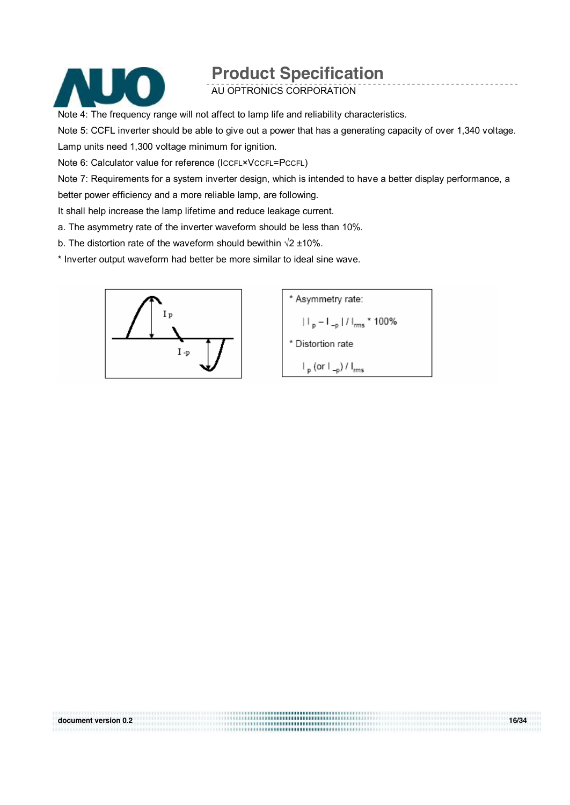

AU OPTRONICS CORPORATION

Note 4: The frequency range will not affect to lamp life and reliability characteristics.

Note 5: CCFL inverter should be able to give out a power that has a generating capacity of over 1,340 voltage. Lamp units need 1,300 voltage minimum for ignition.

Note 6: Calculator value for reference (ICCFL×VCCFL=PCCFL)

Note 7: Requirements for a system inverter design, which is intended to have a better display performance, a better power efficiency and a more reliable lamp, are following.

**document version 0.2 16/34** 

It shall help increase the lamp lifetime and reduce leakage current.

a. The asymmetry rate of the inverter waveform should be less than 10%.

b. The distortion rate of the waveform should bewithin √2 ±10%.

\* Inverter output waveform had better be more similar to ideal sine wave.



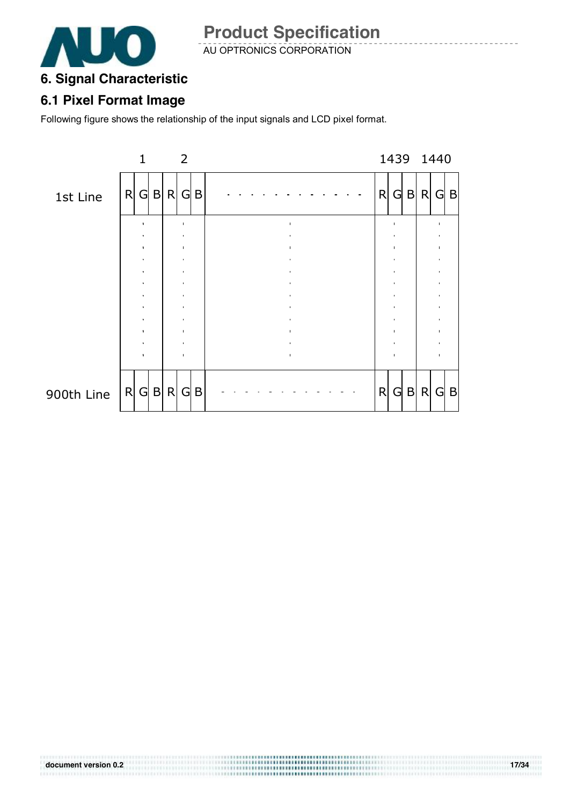

AU OPTRONICS CORPORATION

### **6. Signal Characteristic**

### **6.1 Pixel Format Image**

Following figure shows the relationship of the input signals and LCD pixel format.



..................................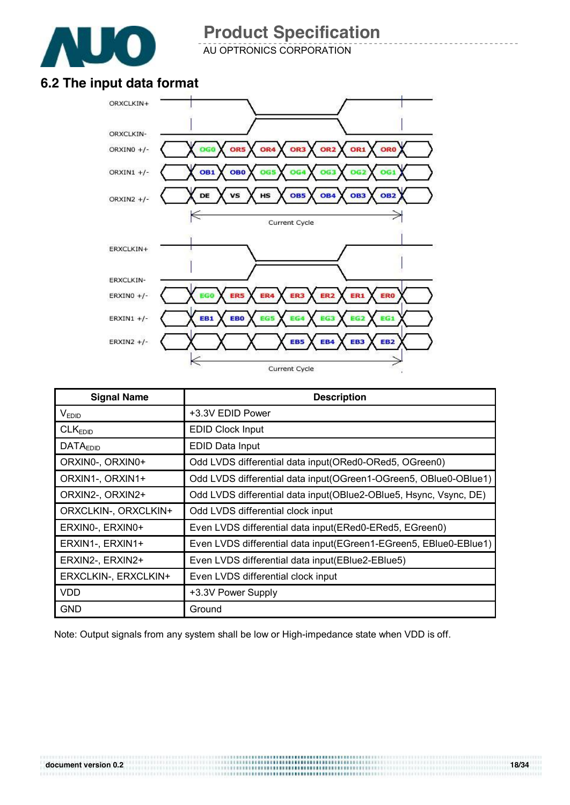

AU OPTRONICS CORPORATION

### **6.2 The input data format**



| <b>Signal Name</b>   | <b>Description</b>                                                 |
|----------------------|--------------------------------------------------------------------|
| V <sub>EDID</sub>    | +3.3V EDID Power                                                   |
| CLK <sub>EDID</sub>  | <b>EDID Clock Input</b>                                            |
| <b>DATAEDID</b>      | EDID Data Input                                                    |
| ORXIN0-, ORXIN0+     | Odd LVDS differential data input (ORed0-ORed5, OGreen0)            |
| ORXIN1-, ORXIN1+     | Odd LVDS differential data input (OGreen1-OGreen5, OBIue0-OBIue1)  |
| ORXIN2-, ORXIN2+     | Odd LVDS differential data input(OBlue2-OBlue5, Hsync, Vsync, DE)  |
| ORXCLKIN-, ORXCLKIN+ | Odd LVDS differential clock input                                  |
| ERXINO-, ERXINO+     | Even LVDS differential data input (ERed0-ERed5, EGreen0)           |
| ERXIN1-, ERXIN1+     | Even LVDS differential data input (EGreen1-EGreen5, EBIue0-EBIue1) |
| ERXIN2-, ERXIN2+     | Even LVDS differential data input(EBlue2-EBlue5)                   |
| ERXCLKIN-, ERXCLKIN+ | Even LVDS differential clock input                                 |
| <b>VDD</b>           | +3.3V Power Supply                                                 |
| <b>GND</b>           | Ground                                                             |

Note: Output signals from any system shall be low or High-impedance state when VDD is off.

..................................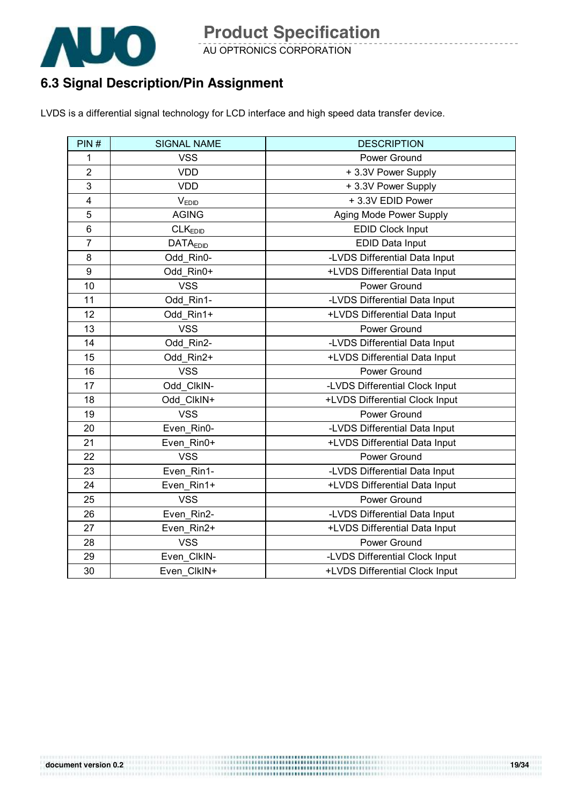

AU OPTRONICS CORPORATION

### **6.3 Signal Description/Pin Assignment**

LVDS is a differential signal technology for LCD interface and high speed data transfer device.

| PIN#                    | <b>SIGNAL NAME</b>  | <b>DESCRIPTION</b>             |
|-------------------------|---------------------|--------------------------------|
| 1                       | <b>VSS</b>          | Power Ground                   |
| $\overline{2}$          | <b>VDD</b>          | +3.3V Power Supply             |
| 3                       | <b>VDD</b>          | +3.3V Power Supply             |
| $\overline{\mathbf{4}}$ | VEDID               | +3.3V EDID Power               |
| 5                       | <b>AGING</b>        | Aging Mode Power Supply        |
| 6                       | CLK <sub>EDID</sub> | <b>EDID Clock Input</b>        |
| $\overline{7}$          | <b>DATAEDID</b>     | EDID Data Input                |
| 8                       | Odd Rin0-           | -LVDS Differential Data Input  |
| 9                       | Odd_Rin0+           | +LVDS Differential Data Input  |
| 10                      | <b>VSS</b>          | Power Ground                   |
| 11                      | Odd Rin1-           | -LVDS Differential Data Input  |
| 12                      | Odd Rin1+           | +LVDS Differential Data Input  |
| 13                      | <b>VSS</b>          | Power Ground                   |
| 14                      | Odd Rin2-           | -LVDS Differential Data Input  |
| 15                      | Odd_Rin2+           | +LVDS Differential Data Input  |
| 16                      | <b>VSS</b>          | Power Ground                   |
| 17                      | Odd_ClkIN-          | -LVDS Differential Clock Input |
| 18                      | Odd ClkIN+          | +LVDS Differential Clock Input |
| 19                      | <b>VSS</b>          | Power Ground                   |
| 20                      | Even Rin0-          | -LVDS Differential Data Input  |
| 21                      | Even Rin0+          | +LVDS Differential Data Input  |
| 22                      | <b>VSS</b>          | Power Ground                   |
| 23                      | Even Rin1-          | -LVDS Differential Data Input  |
| 24                      | Even_Rin1+          | +LVDS Differential Data Input  |
| 25                      | <b>VSS</b>          | Power Ground                   |
| 26                      | Even_Rin2-          | -LVDS Differential Data Input  |
| 27                      | Even_Rin2+          | +LVDS Differential Data Input  |
| 28                      | <b>VSS</b>          | Power Ground                   |
| 29                      | Even ClkIN-         | -LVDS Differential Clock Input |
| 30                      | Even ClkIN+         | +LVDS Differential Clock Input |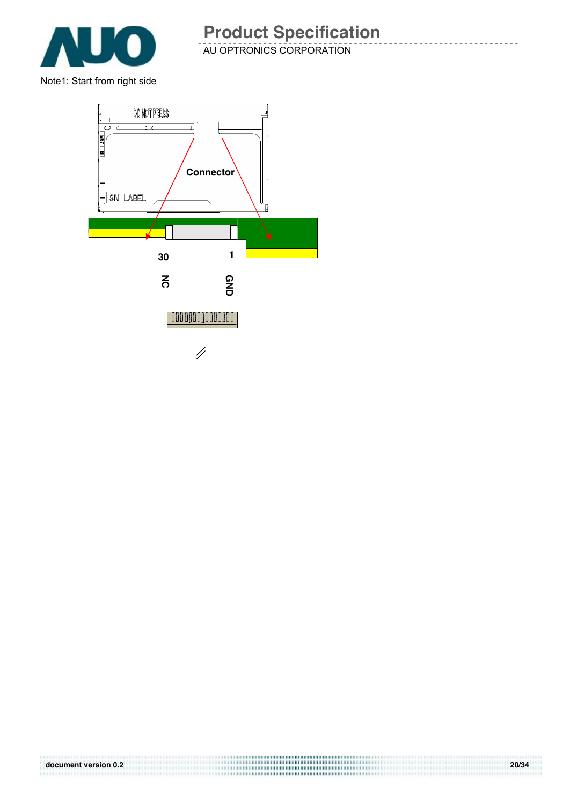

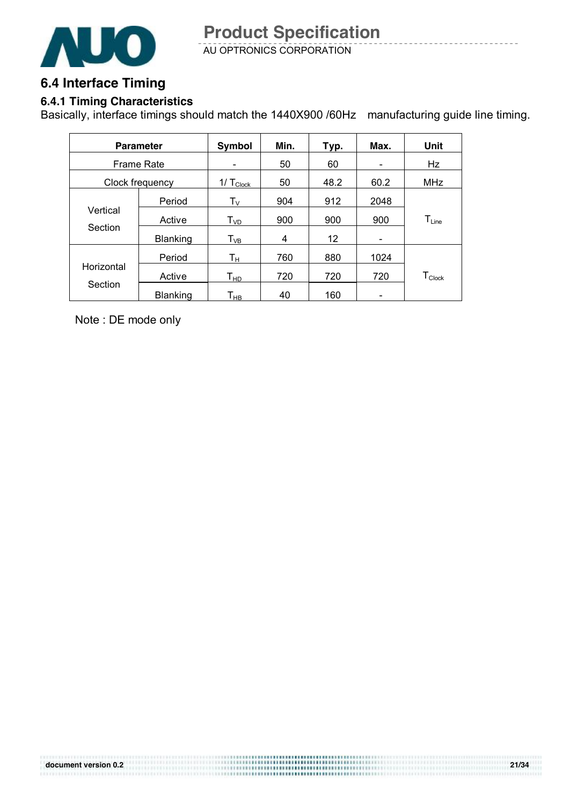

### **6.4 Interface Timing**

### **6.4.1 Timing Characteristics**

Basically, interface timings should match the 1440X900 /60Hz manufacturing guide line timing.

,,,,,,,,,,,,,,,,,,,

|            | <b>Parameter</b> | Symbol                      | Min. | Typ. | Max.                     | Unit                           |
|------------|------------------|-----------------------------|------|------|--------------------------|--------------------------------|
|            | Frame Rate       |                             | 50   | 60   | $\overline{\phantom{0}}$ | Hz                             |
|            | Clock frequency  | $1/\text{T}_{\text{Clock}}$ | 50   | 48.2 | 60.2                     | <b>MHz</b>                     |
|            | Period           | $T_{V}$                     | 904  | 912  | 2048                     |                                |
| Vertical   | Active           | $T_{VD}$                    | 900  | 900  | 900                      | $T_{Line}$                     |
| Section    | <b>Blanking</b>  | $T_{VB}$                    | 4    | 12   |                          |                                |
|            | Period           | Tн                          | 760  | 880  | 1024                     |                                |
| Horizontal | Active           | $\mathsf{T}_{\mathsf{HD}}$  | 720  | 720  | 720                      | ${\mathsf T}_{\mathsf{Clock}}$ |
| Section    | Blanking         | Т <sub>нв</sub>             | 40   | 160  |                          |                                |

Note : DE mode only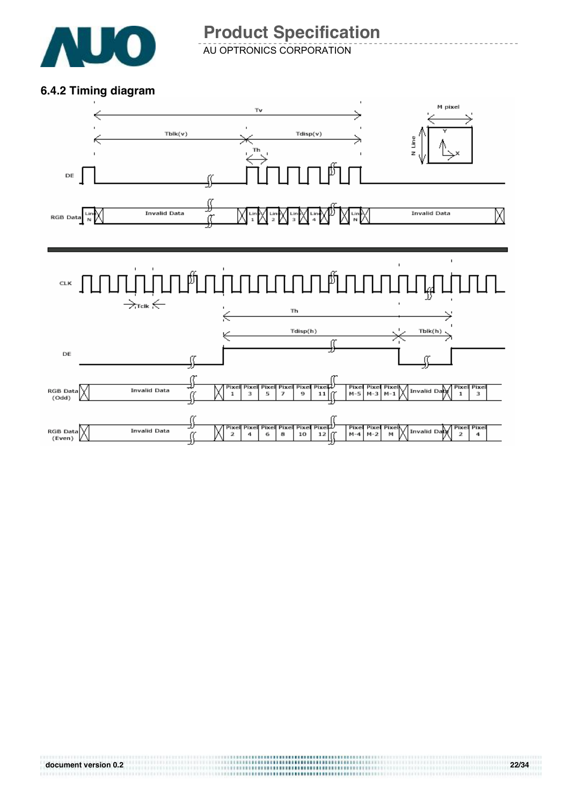

AU OPTRONICS CORPORATION

#### **6.4.2 Timing diagram**

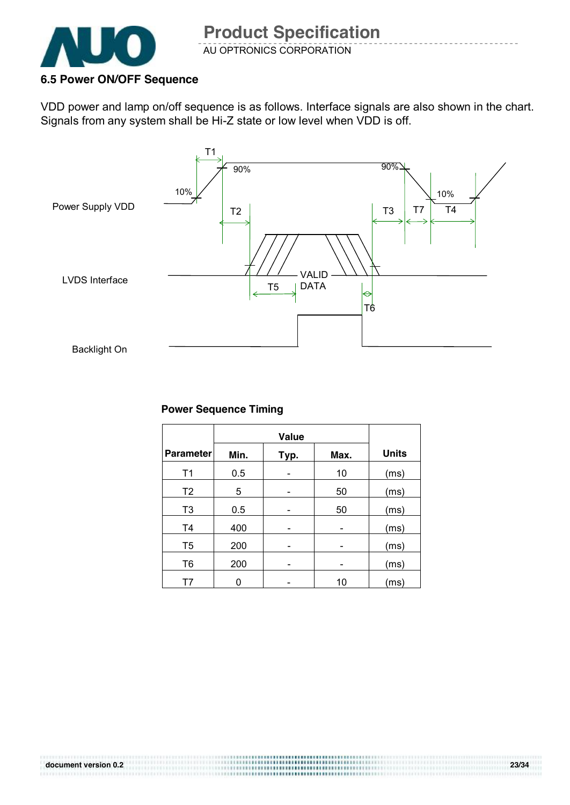

#### **6.5 Power ON/OFF Sequence**

VDD power and lamp on/off sequence is as follows. Interface signals are also shown in the chart. Signals from any system shall be Hi-Z state or low level when VDD is off.



#### **Power Sequence Timing**

|                  |      | <b>Value</b> |      |              |
|------------------|------|--------------|------|--------------|
| <b>Parameter</b> | Min. | Typ.         | Max. | <b>Units</b> |
| T1               | 0.5  |              | 10   | (ms)         |
| T <sub>2</sub>   | 5    |              | 50   | (ms)         |
| T <sub>3</sub>   | 0.5  |              | 50   | (ms)         |
| T <sub>4</sub>   | 400  |              |      | (ms)         |
| T <sub>5</sub>   | 200  |              |      | (ms)         |
| T <sub>6</sub>   | 200  |              |      | (ms)         |
| Τ7               |      |              | 10   | (ms)         |

..................... ,,,,,,,,,,,,,,,,,,,,,,,,,,,,,,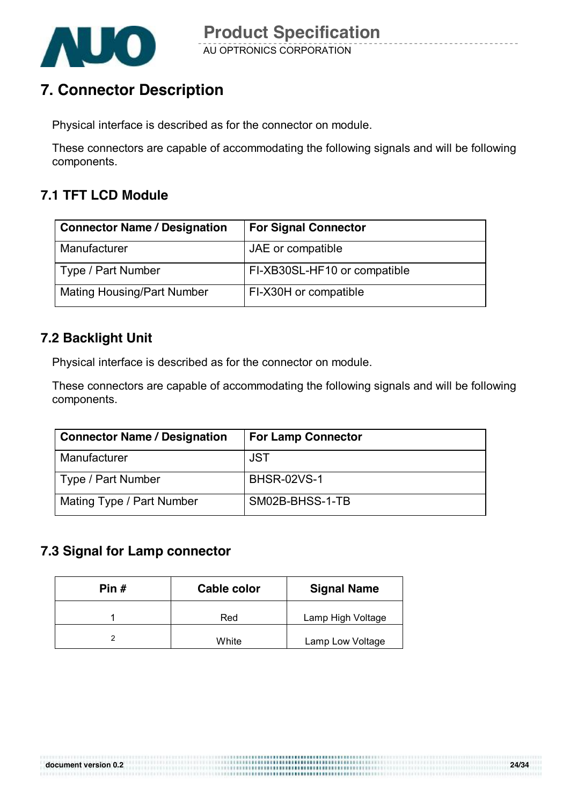

### **7. Connector Description**

Physical interface is described as for the connector on module.

These connectors are capable of accommodating the following signals and will be following components.

### **7.1 TFT LCD Module**

| <b>Connector Name / Designation</b> | <b>For Signal Connector</b>  |
|-------------------------------------|------------------------------|
| Manufacturer                        | JAE or compatible            |
| Type / Part Number                  | FI-XB30SL-HF10 or compatible |
| <b>Mating Housing/Part Number</b>   | FI-X30H or compatible        |

#### **7.2 Backlight Unit**

Physical interface is described as for the connector on module.

These connectors are capable of accommodating the following signals and will be following components.

................................

| <b>Connector Name / Designation</b> | <b>For Lamp Connector</b> |
|-------------------------------------|---------------------------|
| Manufacturer                        | <b>JST</b>                |
| Type / Part Number                  | <b>BHSR-02VS-1</b>        |
| Mating Type / Part Number           | SM02B-BHSS-1-TB           |

#### **7.3 Signal for Lamp connector**

| Pin $#$ | Cable color | <b>Signal Name</b> |
|---------|-------------|--------------------|
|         | Red         | Lamp High Voltage  |
|         | White       | Lamp Low Voltage   |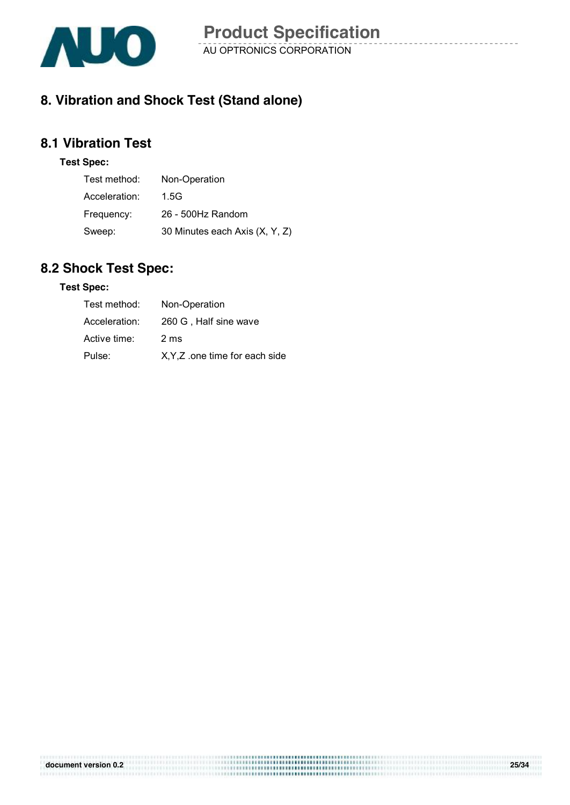

### **8. Vibration and Shock Test (Stand alone)**

### **8.1 Vibration Test**

#### **Test Spec:**

| Test method:  | Non-Operation                  |
|---------------|--------------------------------|
| Acceleration: | 1.5G                           |
| Frequency:    | 26 - 500Hz Random              |
| Sweep:        | 30 Minutes each Axis (X, Y, Z) |

### **8.2 Shock Test Spec:**

#### **Test Spec:**

| Test method:  | Non-Operation                  |
|---------------|--------------------------------|
| Acceleration: | 260 G, Half sine wave          |
| Active time:  | 2 ms                           |
| Pulse:        | X, Y, Z one time for each side |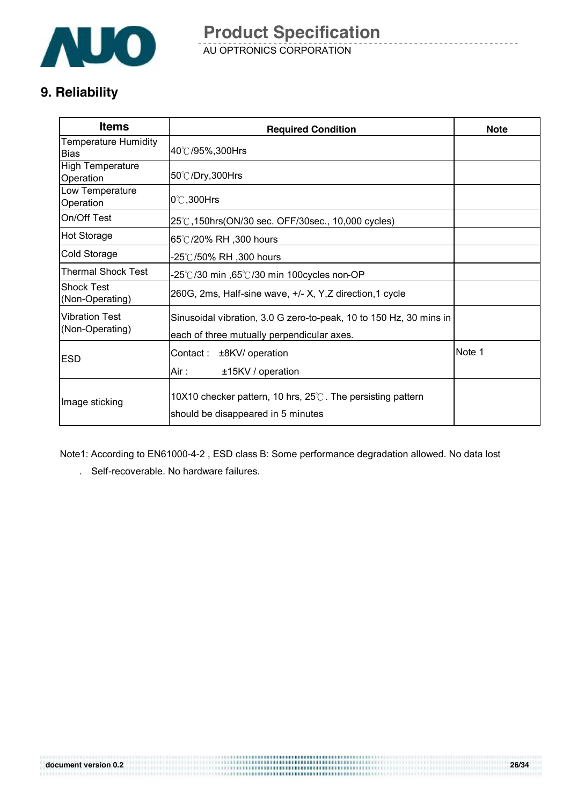

AU OPTRONICS CORPORATION **Product Specification** 

### **9. Reliability**

| <b>Items</b>                             | <b>Required Condition</b>                                                                                        | <b>Note</b> |
|------------------------------------------|------------------------------------------------------------------------------------------------------------------|-------------|
| Temperature Humidity<br><b>Bias</b>      | 40℃/95%,300Hrs                                                                                                   |             |
| <b>High Temperature</b><br>Operation     | 50℃/Dry,300Hrs                                                                                                   |             |
| Low Temperature<br>Operation             | $0^\circ$ C,300Hrs                                                                                               |             |
| On/Off Test                              | 25℃,150hrs(ON/30 sec. OFF/30sec., 10,000 cycles)                                                                 |             |
| <b>Hot Storage</b>                       | 65℃/20% RH, 300 hours                                                                                            |             |
| Cold Storage                             | -25℃/50% RH ,300 hours                                                                                           |             |
| Thermal Shock Test                       | -25℃/30 min ,65℃/30 min 100cycles non-OP                                                                         |             |
| <b>Shock Test</b><br>(Non-Operating)     | 260G, 2ms, Half-sine wave, +/- X, Y, Z direction, 1 cycle                                                        |             |
| <b>Vibration Test</b><br>(Non-Operating) | Sinusoidal vibration, 3.0 G zero-to-peak, 10 to 150 Hz, 30 mins in<br>each of three mutually perpendicular axes. |             |
| <b>ESD</b>                               | Contact :<br>±8KV/ operation<br>Air :<br>±15KV / operation                                                       | Note 1      |
| Image sticking                           | 10X10 checker pattern, 10 hrs, 25°C. The persisting pattern<br>should be disappeared in 5 minutes                |             |

Note1: According to EN61000-4-2 , ESD class B: Some performance degradation allowed. No data lost

...................... 

. Self-recoverable. No hardware failures.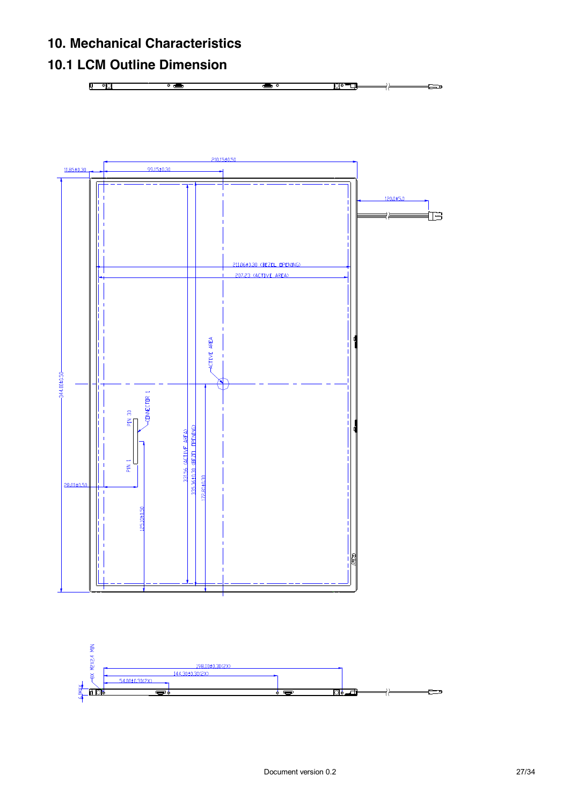### **10. Mechanical Characteristics**

### **10.1 LCM Outline Dimension**

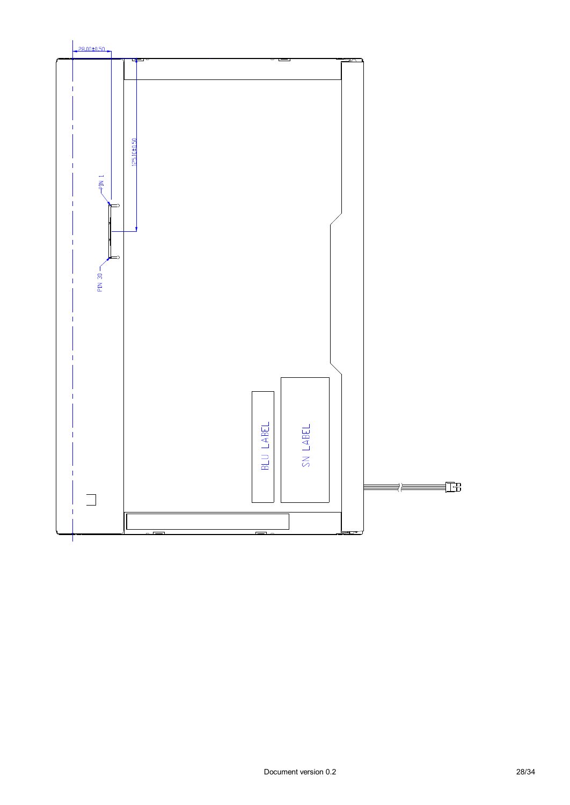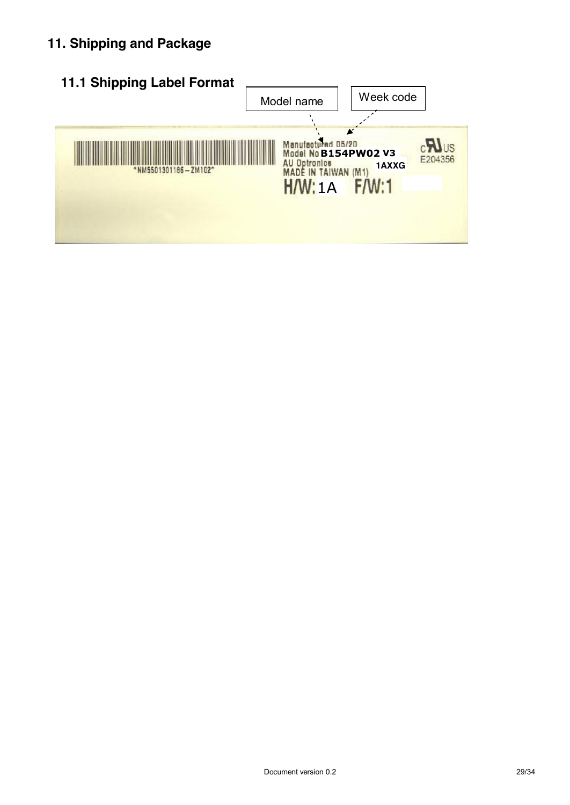### **11. Shipping and Package**

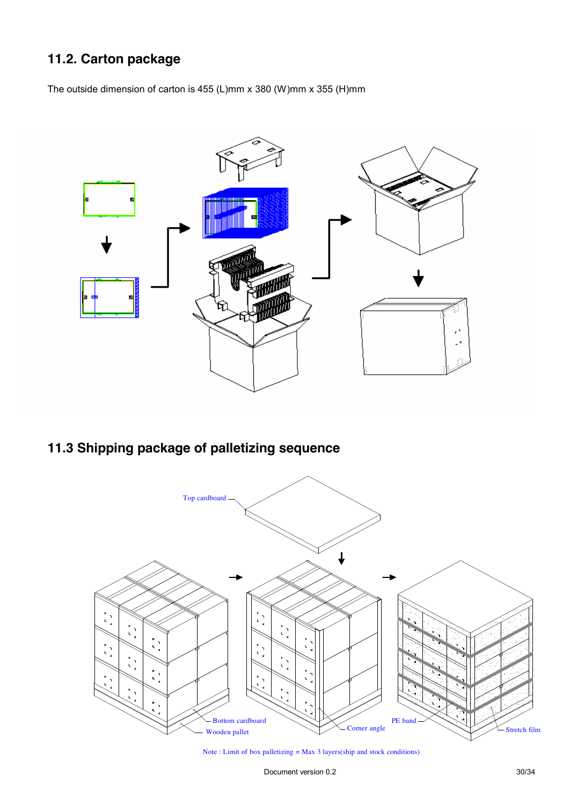### **11.2. Carton package**

The outside dimension of carton is 455 (L)mm x 380 (W)mm x 355 (H)mm



### **11.3 Shipping package of palletizing sequence**



Note : Limit of box palletizing = Max 3 layers(ship and stock conditions)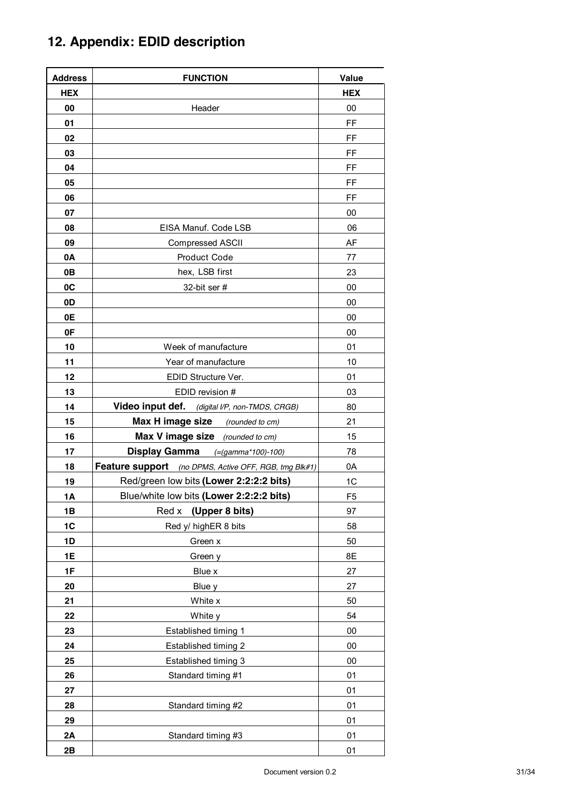|  |  |  | 12. Appendix: EDID description |
|--|--|--|--------------------------------|
|--|--|--|--------------------------------|

| <b>Address</b> | <b>FUNCTION</b>                                       | Value          |
|----------------|-------------------------------------------------------|----------------|
| <b>HEX</b>     |                                                       | <b>HEX</b>     |
| 00             | Header                                                | 00             |
| 01             |                                                       | FF             |
| 02             |                                                       | FF             |
| 03             |                                                       | FF             |
| 04             |                                                       | FF             |
| 05             |                                                       | FF             |
| 06             |                                                       | FF             |
| 07             |                                                       | 00             |
| 08             | EISA Manuf. Code LSB                                  | 06             |
| 09             | Compressed ASCII                                      | AF             |
| 0A             | Product Code                                          | 77             |
| 0B             | hex, LSB first                                        | 23             |
| 0C             | 32-bit ser #                                          | 00             |
| 0D             |                                                       | 00             |
| 0E             |                                                       | 00             |
| 0F             |                                                       | 00             |
| 10             | Week of manufacture                                   | 01             |
| 11             | Year of manufacture                                   | 10             |
| 12             | EDID Structure Ver.                                   | 01             |
| 13             | EDID revision #                                       | 03             |
| 14             | Video input def. (digital I/P, non-TMDS, CRGB)        | 80             |
| 15             | <b>Max H image size</b> (rounded to cm)               | 21             |
| 16             | Max V image size (rounded to cm)                      | 15             |
| 17             | Display Gamma (=(gamma*100)-100)                      | 78             |
| 18             | Feature support (no DPMS, Active OFF, RGB, tmg Blk#1) | 0A             |
| 19             | Red/green low bits (Lower 2:2:2:2 bits)               | 1 <sup>C</sup> |
| 1А             | Blue/white low bits (Lower 2:2:2:2 bits)              | F5             |
| 1B             | (Upper 8 bits)<br>Red x                               | 97             |
| 1C             | Red y/ highER 8 bits                                  | 58             |
| 1D             | Green x                                               | 50             |
| 1E             | Green y                                               | 8E             |
| 1F             | Blue x                                                | 27             |
| 20             | Blue y                                                | 27             |
| 21             | White x                                               | 50             |
| 22             | White y                                               | 54             |
| 23             | Established timing 1                                  | 00             |
| 24             | Established timing 2                                  | 00             |
| 25             | Established timing 3                                  | 00             |
| 26             | Standard timing #1                                    | 01             |
| 27             |                                                       | 01             |
| 28             | Standard timing #2                                    | 01             |
| 29             |                                                       | 01             |
| 2A             | Standard timing #3                                    | 01             |
| 2B             |                                                       | 01             |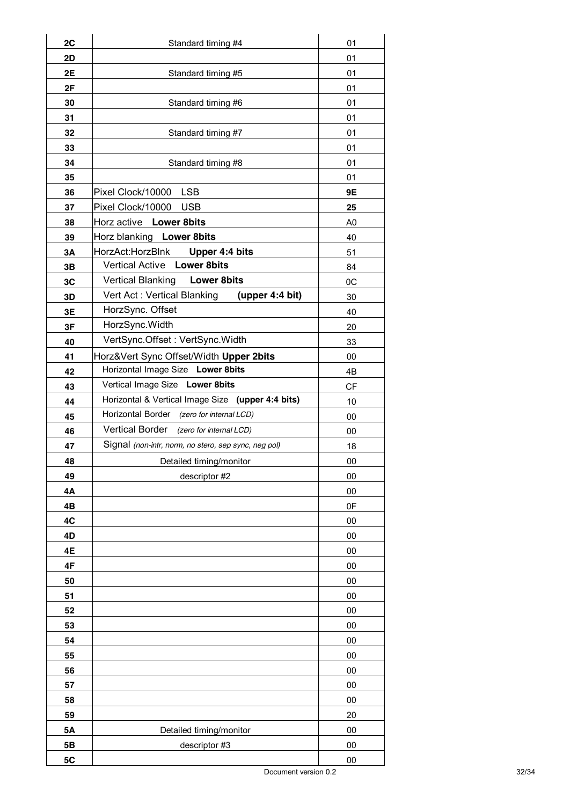| 2C        | Standard timing #4                                   | 01             |
|-----------|------------------------------------------------------|----------------|
| 2D        |                                                      | 01             |
| 2E        | Standard timing #5                                   | 01             |
| 2F        |                                                      | 01             |
| 30        | Standard timing #6                                   | 01             |
| 31        |                                                      | 01             |
| 32        | Standard timing #7                                   | 01             |
| 33        |                                                      | 01             |
| 34        | Standard timing #8                                   | 01             |
| 35        |                                                      | 01             |
| 36        | Pixel Clock/10000 LSB                                | 9E             |
| 37        | Pixel Clock/10000 USB                                | 25             |
| 38        | Horz active Lower 8bits                              | A <sub>0</sub> |
| 39        | Horz blanking Lower 8bits                            | 40             |
| 3A        | HorzAct:HorzBlnk<br>Upper 4:4 bits                   | 51             |
| 3B        | Vertical Active Lower 8bits                          | 84             |
| 3C        | Vertical Blanking Lower 8bits                        | 0C             |
| 3D        | Vert Act: Vertical Blanking<br>(upper 4:4 bit)       | 30             |
| 3E        | HorzSync. Offset                                     | 40             |
| 3F        | HorzSync. Width                                      | 20             |
| 40        | VertSync.Offset: VertSync.Width                      | 33             |
| 41        | Horz‖ Sync Offset/Width Upper 2bits                  | 00             |
| 42        | Horizontal Image Size Lower 8bits                    | 4B             |
| 43        | Vertical Image Size Lower 8bits                      | <b>CF</b>      |
| 44        | Horizontal & Vertical Image Size (upper 4:4 bits)    | 10             |
| 45        | Horizontal Border (zero for internal LCD)            | 00             |
| 46        | Vertical Border (zero for internal LCD)              | 00             |
| 47        | Signal (non-intr, norm, no stero, sep sync, neg pol) | 18             |
| 48        | Detailed timing/monitor                              | $00\,$         |
| 49        | descriptor #2                                        | 00             |
| 4Α        |                                                      | 00             |
| 4B        |                                                      | 0F             |
| 4C        |                                                      | 00             |
| 4D        |                                                      | 00             |
| 4E        |                                                      | 00             |
| 4F        |                                                      | 00             |
| 50        |                                                      | 00             |
| 51        |                                                      | 00             |
| 52        |                                                      | 00             |
| 53        |                                                      | 00             |
| 54        |                                                      | 00             |
| 55        |                                                      | 00             |
| 56        |                                                      | 00             |
| 57        |                                                      | 00             |
| 58        |                                                      | 00             |
| 59        |                                                      | 20             |
| <b>5A</b> | Detailed timing/monitor                              | 00             |
| 5B        | descriptor #3                                        | 00             |
| 5C        |                                                      | $00\,$         |